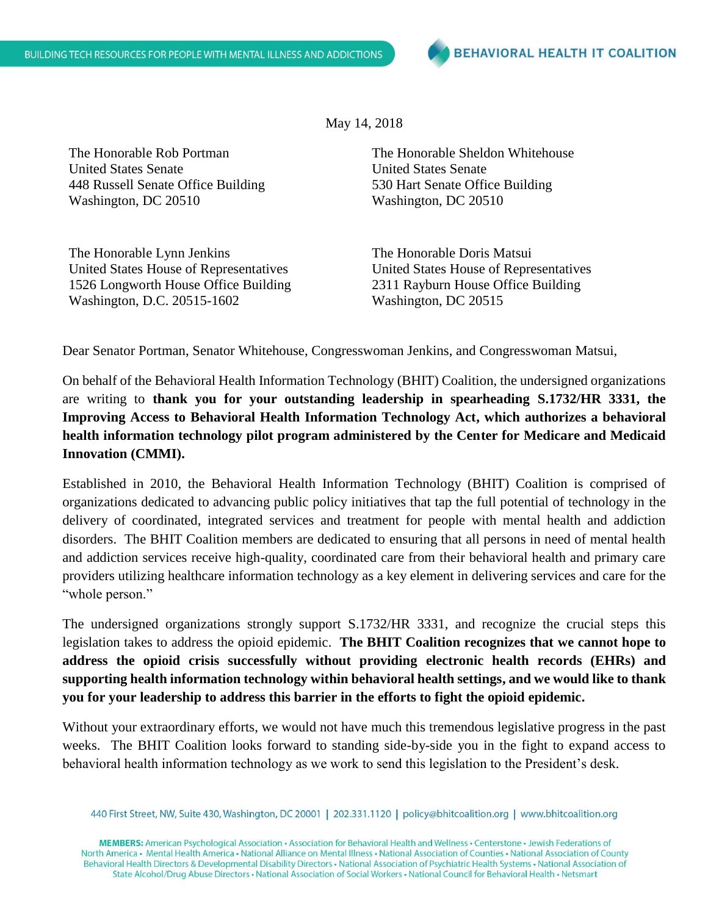May 14, 2018

The Honorable Rob Portman United States Senate 448 Russell Senate Office Building Washington, DC 20510

The Honorable Lynn Jenkins United States House of Representatives 1526 Longworth House Office Building Washington, D.C. 20515-1602

The Honorable Sheldon Whitehouse United States Senate 530 Hart Senate Office Building Washington, DC 20510

The Honorable Doris Matsui United States House of Representatives 2311 Rayburn House Office Building Washington, DC 20515

Dear Senator Portman, Senator Whitehouse, Congresswoman Jenkins, and Congresswoman Matsui,

On behalf of the Behavioral Health Information Technology (BHIT) Coalition, the undersigned organizations are writing to **thank you for your outstanding leadership in spearheading S.1732/HR 3331, the Improving Access to Behavioral Health Information Technology Act, which authorizes a behavioral health information technology pilot program administered by the Center for Medicare and Medicaid Innovation (CMMI).**

Established in 2010, the Behavioral Health Information Technology (BHIT) Coalition is comprised of organizations dedicated to advancing public policy initiatives that tap the full potential of technology in the delivery of coordinated, integrated services and treatment for people with mental health and addiction disorders. The BHIT Coalition members are dedicated to ensuring that all persons in need of mental health and addiction services receive high-quality, coordinated care from their behavioral health and primary care providers utilizing healthcare information technology as a key element in delivering services and care for the "whole person."

The undersigned organizations strongly support S.1732/HR 3331, and recognize the crucial steps this legislation takes to address the opioid epidemic. **The BHIT Coalition recognizes that we cannot hope to address the opioid crisis successfully without providing electronic health records (EHRs) and supporting health information technology within behavioral health settings, and we would like to thank you for your leadership to address this barrier in the efforts to fight the opioid epidemic.**

Without your extraordinary efforts, we would not have much this tremendous legislative progress in the past weeks. The BHIT Coalition looks forward to standing side-by-side you in the fight to expand access to behavioral health information technology as we work to send this legislation to the President's desk.

440 First Street, NW, Suite 430, Washington, DC 20001 | 202.331.1120 | policy@bhitcoalition.org | www.bhitcoalition.org